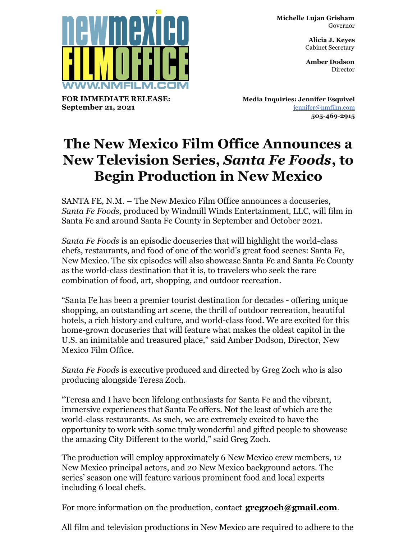**Michelle Lujan Grisham** Governor

> **Alicia J. Keyes** Cabinet Secretary

> **Amber Dodson Director**



**FOR IMMEDIATE RELEASE: September 21, 2021**

**Media Inquiries: Jennifer Esquivel** [jennifer@nmfilm.com](mailto:jennifer@nmfilm.com) **505-469-2915**

## **The New Mexico Film Office Announces a New Television Series,** *Santa Fe Foods***, to Begin Production in New Mexico**

SANTA FE, N.M. – The New Mexico Film Office announces a docuseries, *Santa Fe Foods,* produced by Windmill Winds Entertainment, LLC, will film in Santa Fe and around Santa Fe County in September and October 2021.

*Santa Fe Foods* is an episodic docuseries that will highlight the world-class chefs, restaurants, and food of one of the world's great food scenes: Santa Fe, New Mexico. The six episodes will also showcase Santa Fe and Santa Fe County as the world-class destination that it is, to travelers who seek the rare combination of food, art, shopping, and outdoor recreation.

"Santa Fe has been a premier tourist destination for decades - offering unique shopping, an outstanding art scene, the thrill of outdoor recreation, beautiful hotels, a rich history and culture, and world-class food. We are excited for this home-grown docuseries that will feature what makes the oldest capitol in the U.S. an inimitable and treasured place," said Amber Dodson, Director, New Mexico Film Office.

*Santa Fe Foods* is executive produced and directed by Greg Zoch who is also producing alongside Teresa Zoch.

"Teresa and I have been lifelong enthusiasts for Santa Fe and the vibrant, immersive experiences that Santa Fe offers. Not the least of which are the world-class restaurants. As such, we are extremely excited to have the opportunity to work with some truly wonderful and gifted people to showcase the amazing City Different to the world," said Greg Zoch.

The production will employ approximately 6 New Mexico crew members, 12 New Mexico principal actors, and 20 New Mexico background actors. The series' season one will feature various prominent food and local experts including 6 local chefs.

For more information on the production, contact **[gregzoch@gmail.com](mailto:gregzoch@gmail.com)**.

All film and television productions in New Mexico are required to adhere to the